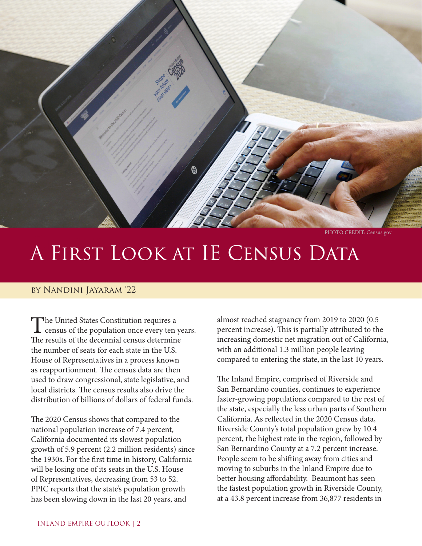

PHOTO CREDIT: Census.gov

# A FIRST A First Look at IE Census Data

#### by Nandini Jayaram '22

The United States Constitution requires a<br>census of the population once every ten years. The results of the decennial census determine the number of seats for each state in the U.S. House of Representatives in a process known as reapportionment. The census data are then used to draw congressional, state legislative, and local districts. The census results also drive the distribution of billions of dollars of federal funds.

The 2020 Census shows that compared to the national population increase of 7.4 percent, California documented its slowest population growth of 5.9 percent (2.2 million residents) since the 1930s. For the first time in history, California will be losing one of its seats in the U.S. House of Representatives, decreasing from 53 to 52. PPIC reports that the state's population growth has been slowing down in the last 20 years, and

almost reached stagnancy from 2019 to 2020 (0.5 percent increase). This is partially attributed to the increasing domestic net migration out of California, with an additional 1.3 million people leaving compared to entering the state, in the last 10 years.

The Inland Empire, comprised of Riverside and San Bernardino counties, continues to experience faster-growing populations compared to the rest of the state, especially the less urban parts of Southern California. As reflected in the 2020 Census data, Riverside County's total population grew by 10.4 percent, the highest rate in the region, followed by San Bernardino County at a 7.2 percent increase. People seem to be shifting away from cities and moving to suburbs in the Inland Empire due to better housing affordability. Beaumont has seen the fastest population growth in Riverside County, at a 43.8 percent increase from 36,877 residents in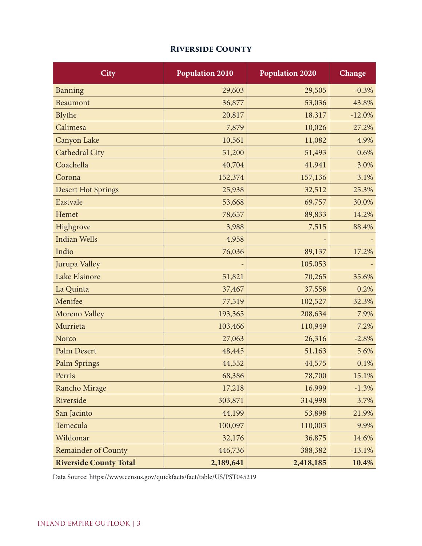## **Riverside County**

| <b>City</b>                   | <b>Population 2010</b> | <b>Population 2020</b> | Change   |
|-------------------------------|------------------------|------------------------|----------|
| Banning                       | 29,603                 | 29,505                 | $-0.3%$  |
| <b>Beaumont</b>               | 36,877                 | 53,036                 | 43.8%    |
| Blythe                        | 20,817                 | 18,317                 | $-12.0%$ |
| Calimesa                      | 7,879                  | 10,026                 | 27.2%    |
| Canyon Lake                   | 10,561                 | 11,082                 | 4.9%     |
| <b>Cathedral City</b>         | 51,200                 | 51,493                 | 0.6%     |
| Coachella                     | 40,704                 | 41,941                 | 3.0%     |
| Corona                        | 152,374                | 157,136                | 3.1%     |
| <b>Desert Hot Springs</b>     | 25,938                 | 32,512                 | 25.3%    |
| Eastvale                      | 53,668                 | 69,757                 | 30.0%    |
| Hemet                         | 78,657                 | 89,833                 | 14.2%    |
| Highgrove                     | 3,988                  | 7,515                  | 88.4%    |
| <b>Indian Wells</b>           | 4,958                  |                        |          |
| Indio                         | 76,036                 | 89,137                 | 17.2%    |
| Jurupa Valley                 |                        | 105,053                |          |
| Lake Elsinore                 | 51,821                 | 70,265                 | 35.6%    |
| La Quinta                     | 37,467                 | 37,558                 | 0.2%     |
| Menifee                       | 77,519                 | 102,527                | 32.3%    |
| Moreno Valley                 | 193,365                | 208,634                | 7.9%     |
| Murrieta                      | 103,466                | 110,949                | 7.2%     |
| Norco                         | 27,063                 | 26,316                 | $-2.8%$  |
| Palm Desert                   | 48,445                 | 51,163                 | 5.6%     |
| <b>Palm Springs</b>           | 44,552                 | 44,575                 | 0.1%     |
| Perris                        | 68,386                 | 78,700                 | 15.1%    |
| Rancho Mirage                 | 17,218                 | 16,999                 | $-1.3%$  |
| Riverside                     | 303,871                | 314,998                | 3.7%     |
| San Jacinto                   | 44,199                 | 53,898                 | 21.9%    |
| Temecula                      | 100,097                | 110,003                | 9.9%     |
| Wildomar                      | 32,176                 | 36,875                 | 14.6%    |
| <b>Remainder of County</b>    | 446,736                | 388,382                | $-13.1%$ |
| <b>Riverside County Total</b> | 2,189,641              | 2,418,185              | 10.4%    |

Data Source: https://www.census.gov/quickfacts/fact/table/US/PST045219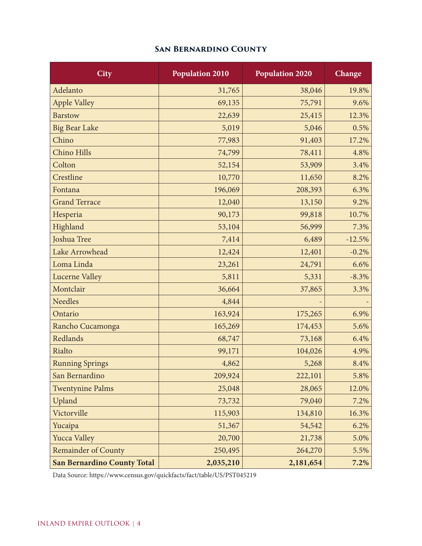## **San Bernardino County**

| <b>City</b>                        | <b>Population 2010</b> | <b>Population 2020</b> | Change   |
|------------------------------------|------------------------|------------------------|----------|
| Adelanto                           | 31,765                 | 38,046                 | 19.8%    |
| <b>Apple Valley</b>                | 69,135                 | 75,791                 | 9.6%     |
| <b>Barstow</b>                     | 22,639                 | 25,415                 | 12.3%    |
| <b>Big Bear Lake</b>               | 5,019                  | 5,046                  | 0.5%     |
| Chino                              | 77,983                 | 91,403                 | 17.2%    |
| Chino Hills                        | 74,799                 | 78,411                 | 4.8%     |
| Colton                             | 52,154                 | 53,909                 | 3.4%     |
| Crestline                          | 10,770                 | 11,650                 | 8.2%     |
| Fontana                            | 196,069                | 208,393                | 6.3%     |
| <b>Grand Terrace</b>               | 12,040                 | 13,150                 | 9.2%     |
| Hesperia                           | 90,173                 | 99,818                 | 10.7%    |
| Highland                           | 53,104                 | 56,999                 | 7.3%     |
| Joshua Tree                        | 7,414                  | 6,489                  | $-12.5%$ |
| Lake Arrowhead                     | 12,424                 | 12,401                 | $-0.2%$  |
| Loma Linda                         | 23,261                 | 24,791                 | 6.6%     |
| <b>Lucerne Valley</b>              | 5,811                  | 5,331                  | $-8.3%$  |
| Montclair                          | 36,664                 | 37,865                 | 3.3%     |
| <b>Needles</b>                     | 4,844                  |                        |          |
| Ontario                            | 163,924                | 175,265                | 6.9%     |
| Rancho Cucamonga                   | 165,269                | 174,453                | 5.6%     |
| Redlands                           | 68,747                 | 73,168                 | 6.4%     |
| Rialto                             | 99,171                 | 104,026                | 4.9%     |
| <b>Running Springs</b>             | 4,862                  | 5,268                  | 8.4%     |
| San Bernardino                     | 209,924                | 222,101                | 5.8%     |
| <b>Twentynine Palms</b>            | 25,048                 | 28,065                 | 12.0%    |
| Upland                             | 73,732                 | 79,040                 | 7.2%     |
| Victorville                        | 115,903                | 134,810                | 16.3%    |
| Yucaipa                            | 51,367                 | 54,542                 | 6.2%     |
| <b>Yucca Valley</b>                | 20,700                 | 21,738                 | 5.0%     |
| <b>Remainder of County</b>         | 250,495                | 264,270                | 5.5%     |
| <b>San Bernardino County Total</b> | 2,035,210              | 2,181,654              | 7.2%     |

Data Source: https://www.census.gov/quickfacts/fact/table/US/PST045219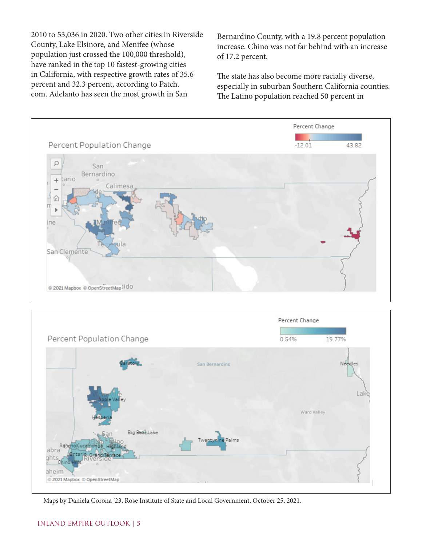2010 to 53,036 in 2020. Two other cities in Riverside County, Lake Elsinore, and Menifee (whose population just crossed the 100,000 threshold), have ranked in the top 10 fastest-growing cities in California, with respective growth rates of 35.6 percent and 32.3 percent, according to Patch. com. Adelanto has seen the most growth in San

Bernardino County, with a 19.8 percent population increase. Chino was not far behind with an increase of 17.2 percent.

The state has also become more racially diverse, especially in suburban Southern California counties. The Latino population reached 50 percent in





Maps by Daniela Corona '23, Rose Institute of State and Local Government, October 25, 2021.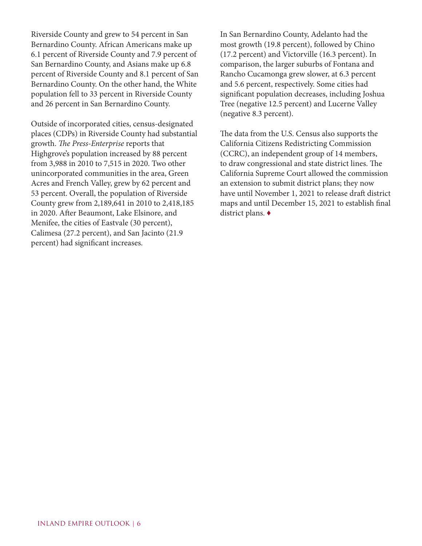Riverside County and grew to 54 percent in San Bernardino County. African Americans make up 6.1 percent of Riverside County and 7.9 percent of San Bernardino County, and Asians make up 6.8 percent of Riverside County and 8.1 percent of San Bernardino County. On the other hand, the White population fell to 33 percent in Riverside County and 26 percent in San Bernardino County.

Outside of incorporated cities, census-designated places (CDPs) in Riverside County had substantial growth. *The Press-Enterprise* reports that Highgrove's population increased by 88 percent from 3,988 in 2010 to 7,515 in 2020. Two other unincorporated communities in the area, Green Acres and French Valley, grew by 62 percent and 53 percent. Overall, the population of Riverside County grew from 2,189,641 in 2010 to 2,418,185 in 2020. After Beaumont, Lake Elsinore, and Menifee, the cities of Eastvale (30 percent), Calimesa (27.2 percent), and San Jacinto (21.9 percent) had significant increases.

In San Bernardino County, Adelanto had the most growth (19.8 percent), followed by Chino (17.2 percent) and Victorville (16.3 percent). In comparison, the larger suburbs of Fontana and Rancho Cucamonga grew slower, at 6.3 percent and 5.6 percent, respectively. Some cities had significant population decreases, including Joshua Tree (negative 12.5 percent) and Lucerne Valley (negative 8.3 percent).

The data from the U.S. Census also supports the California Citizens Redistricting Commission (CCRC), an independent group of 14 members, to draw congressional and state district lines. The California Supreme Court allowed the commission an extension to submit district plans; they now have until November 1, 2021 to release draft district maps and until December 15, 2021 to establish final district plans. ♦